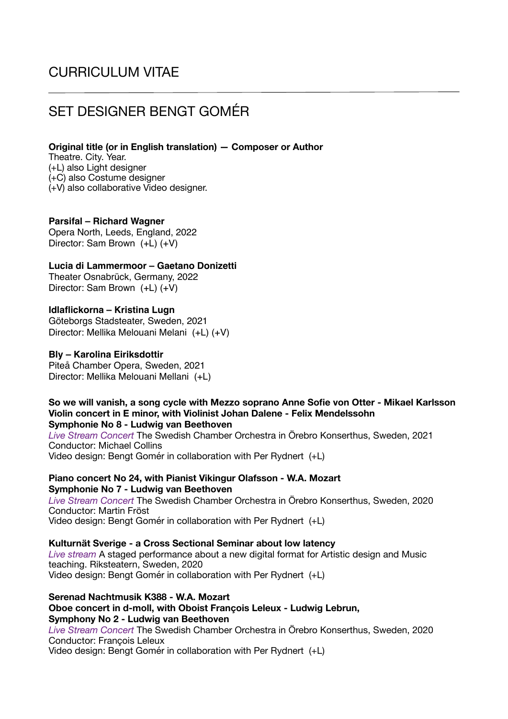# CURRICULUM VITAE

# SET DESIGNER BENGT GOMÉR

**Original title (or in English translation) — Composer or Author** 

Theatre. City. Year. (+L) also Light designer (+C) also Costume designer (+V) also collaborative Video designer.

## **Parsifal – Richard Wagner**

Opera North, Leeds, England, 2022 Director: Sam Brown (+L) (+V)

## **Lucia di Lammermoor – Gaetano Donizetti**

Theater Osnabrück, Germany, 2022 Director: Sam Brown (+L) (+V)

## **Idlaflickorna – Kristina Lugn**

Göteborgs Stadsteater, Sweden, 2021 Director: Mellika Melouani Melani (+L) (+V)

## **Bly – Karolina Eiriksdottir**

Piteå Chamber Opera, Sweden, 2021 Director: Mellika Melouani Mellani (+L)

#### **So we will vanish, a song cycle with Mezzo soprano Anne Sofie von Otter - Mikael Karlsson Violin concert in E minor, with Violinist Johan Dalene - Felix Mendelssohn Symphonie No 8 - Ludwig van Beethoven**

*Live Stream Concert* The Swedish Chamber Orchestra in Örebro Konserthus, Sweden, 2021 Conductor: Michael Collins Video design: Bengt Gomér in collaboration with Per Rydnert (+L)

**Piano concert No 24, with Pianist Vikingur Olafsson - W.A. Mozart Symphonie No 7 - Ludwig van Beethoven** 

*Live Stream Concert* The Swedish Chamber Orchestra in Örebro Konserthus, Sweden, 2020 Conductor: Martin Fröst Video design: Bengt Gomér in collaboration with Per Rydnert (+L)

**Kulturnät Sverige - a Cross Sectional Seminar about low latency** 

*Live stream* A staged performance about a new digital format for Artistic design and Music teaching. Riksteatern, Sweden, 2020 Video design: Bengt Gomér in collaboration with Per Rydnert (+L)

**Serenad Nachtmusik K388 - W.A. Mozart Oboe concert in d-moll, with Oboist François Leleux - Ludwig Lebrun, Symphony No 2 - Ludwig van Beethoven**  *Live Stream Concert* The Swedish Chamber Orchestra in Örebro Konserthus, Sweden, 2020 Conductor: François Leleux

Video design: Bengt Gomér in collaboration with Per Rydnert (+L)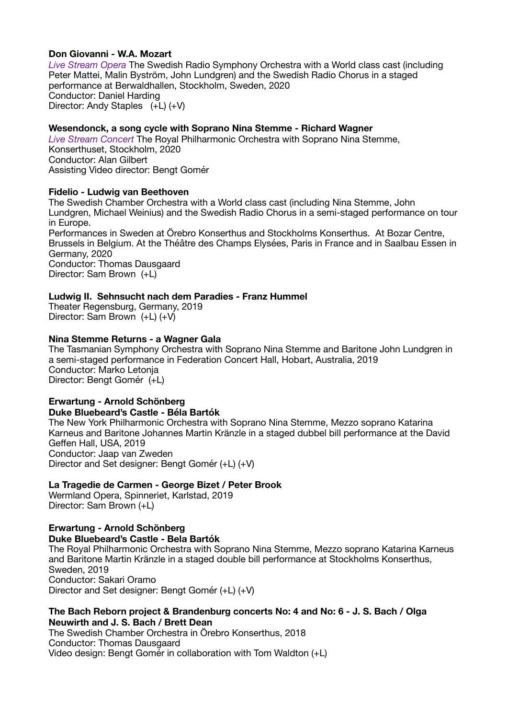## **Don Giovanni - W.A. Mozart**

*Live Stream Opera* The Swedish Radio Symphony Orchestra with a World class cast (including Peter Mattei, Malin Byström, John Lundgren) and the Swedish Radio Chorus in a staged performance at Berwaldhallen, Stockholm, Sweden, 2020 Conductor: Daniel Harding Director: Andy Staples (+L) (+V)

## **Wesendonck, a song cycle with Soprano Nina Stemme - Richard Wagner**

*Live Stream Concert* The Royal Philharmonic Orchestra with Soprano Nina Stemme, Konserthuset, Stockholm, 2020 Conductor: Alan Gilbert Assisting Video director: Bengt Gomér

## **Fidelio - Ludwig van Beethoven**

The Swedish Chamber Orchestra with a World class cast (including Nina Stemme, John Lundgren, Michael Weinius) and the Swedish Radio Chorus in a semi-staged performance on tour in Europe. Performances in Sweden at Örebro Konserthus and Stockholms Konserthus. At Bozar Centre,

Brussels in Belgium. At the Théâtre des Champs Elysées, Paris in France and in Saalbau Essen in Germany, 2020

Conductor: Thomas Dausgaard Director: Sam Brown (+L)

## **Ludwig II. Sehnsucht nach dem Paradies - Franz Hummel**

Theater Regensburg, Germany, 2019 Director: Sam Brown (+L) (+V)

## **Nina Stemme Returns - a Wagner Gala**

The Tasmanian Symphony Orchestra with Soprano Nina Stemme and Baritone John Lundgren in a semi-staged performance in Federation Concert Hall, Hobart, Australia, 2019 Conductor: Marko Letonja Director: Bengt Gomér (+L)

## **Erwartung - Arnold Schönberg Duke Bluebeard's Castle - Béla Bartók**

The New York Philharmonic Orchestra with Soprano Nina Stemme, Mezzo soprano Katarina Karneus and Baritone Johannes Martin Kränzle in a staged dubbel bill performance at the David Geffen Hall, USA, 2019 Conductor: Jaap van Zweden Director and Set designer: Bengt Gomér (+L) (+V)

## **La Tragedie de Carmen - George Bizet / Peter Brook**

Wermland Opera, Spinneriet, Karlstad, 2019 Director: Sam Brown (+L)

#### **Erwartung - Arnold Schönberg Duke Bluebeard's Castle - Bela Bartók**

The Royal Philharmonic Orchestra with Soprano Nina Stemme, Mezzo soprano Katarina Karneus and Baritone Martin Kränzle in a staged double bill performance at Stockholms Konserthus, Sweden, 2019 Conductor: Sakari Oramo Director and Set designer: Bengt Gomér (+L) (+V)

## **The Bach Reborn project & Brandenburg concerts No: 4 and No: 6 - J. S. Bach / Olga Neuwirth and J. S. Bach / Brett Dean**

The Swedish Chamber Orchestra in Örebro Konserthus, 2018 Conductor: Thomas Dausgaard Video design: Bengt Gomér in collaboration with Tom Waldton (+L)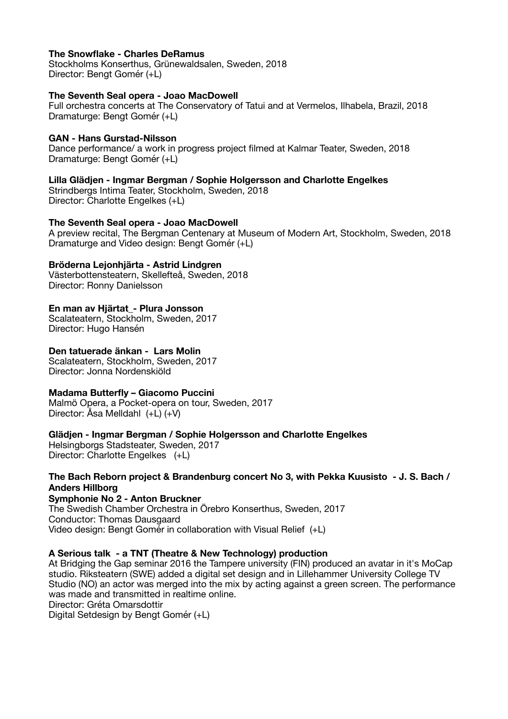## **The Snowflake - Charles DeRamus**

Stockholms Konserthus, Grünewaldsalen, Sweden, 2018 Director: Bengt Gomér (+L)

## **The Seventh Seal opera - Joao MacDowell**

Full orchestra concerts at The Conservatory of Tatui and at Vermelos, Ilhabela, Brazil, 2018 Dramaturge: Bengt Gomér (+L)

## **GAN - Hans Gurstad-Nilsson**

Dance performance/ a work in progress project filmed at Kalmar Teater, Sweden, 2018 Dramaturge: Bengt Gomér (+L)

## **Lilla Glädjen - Ingmar Bergman / Sophie Holgersson and Charlotte Engelkes**

Strindbergs Intima Teater, Stockholm, Sweden, 2018 Director: Charlotte Engelkes (+L)

## **The Seventh Seal opera - Joao MacDowell**

A preview recital, The Bergman Centenary at Museum of Modern Art, Stockholm, Sweden, 2018 Dramaturge and Video design: Bengt Gomér (+L)

## **Bröderna Lejonhjärta - Astrid Lindgren**

Västerbottensteatern, Skellefteå, Sweden, 2018 Director: Ronny Danielsson

## **En man av Hjärtat\_- Plura Jonsson**

Scalateatern, Stockholm, Sweden, 2017 Director: Hugo Hansén

## **Den tatuerade änkan - Lars Molin**

Scalateatern, Stockholm, Sweden, 2017 Director: Jonna Nordenskiöld

## **Madama Butterfly – Giacomo Puccini**

Malmö Opera, a Pocket-opera on tour, Sweden, 2017 Director: Åsa Melldahl (+L) (+V)

#### **Glädjen - Ingmar Bergman / Sophie Holgersson and Charlotte Engelkes**

Helsingborgs Stadsteater, Sweden, 2017 Director: Charlotte Engelkes (+L)

## **The Bach Reborn project & Brandenburg concert No 3, with Pekka Kuusisto - J. S. Bach / Anders Hillborg**

**Symphonie No 2 - Anton Bruckner**  The Swedish Chamber Orchestra in Örebro Konserthus, Sweden, 2017 Conductor: Thomas Dausgaard Video design: Bengt Gomér in collaboration with Visual Relief (+L)

## **A Serious talk - a TNT (Theatre & New Technology) production**

At Bridging the Gap seminar 2016 the Tampere university (FIN) produced an avatar in it's MoCap studio. Riksteatern (SWE) added a digital set design and in Lillehammer University College TV Studio (NO) an actor was merged into the mix by acting against a green screen. The performance was made and transmitted in realtime online.

Director: Gréta Omarsdottir

Digital Setdesign by Bengt Gomér (+L)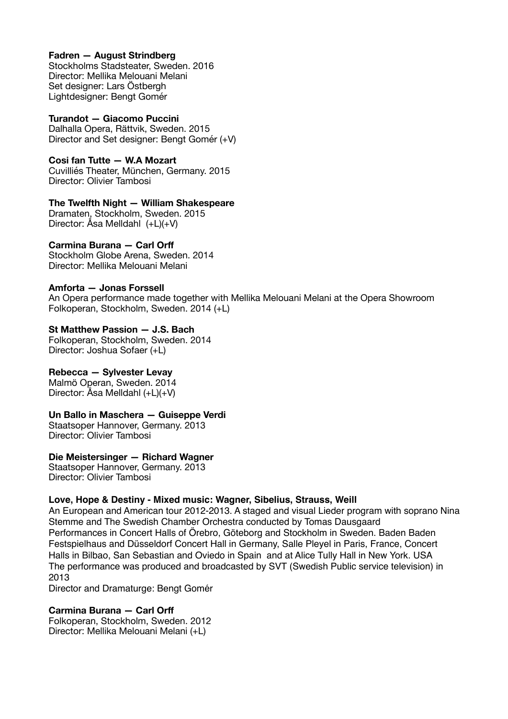## **Fadren — August Strindberg**

Stockholms Stadsteater, Sweden. 2016 Director: Mellika Melouani Melani Set designer: Lars Östbergh Lightdesigner: Bengt Gomér

**Turandot — Giacomo Puccini**  Dalhalla Opera, Rättvik, Sweden. 2015 Director and Set designer: Bengt Gomér (+V)

**Cosi fan Tutte — W.A Mozart**  Cuvilliés Theater, München, Germany. 2015 Director: Olivier Tambosi

**The Twelfth Night — William Shakespeare**  Dramaten, Stockholm, Sweden. 2015

Director: Åsa Melldahl (+L)(+V)

## **Carmina Burana — Carl Orff**

Stockholm Globe Arena, Sweden. 2014 Director: Mellika Melouani Melani

## **Amforta — Jonas Forssell**

An Opera performance made together with Mellika Melouani Melani at the Opera Showroom Folkoperan, Stockholm, Sweden. 2014 (+L)

## **St Matthew Passion — J.S. Bach**

Folkoperan, Stockholm, Sweden. 2014 Director: Joshua Sofaer (+L)

# **Rebecca — Sylvester Levay**

Malmö Operan, Sweden. 2014 Director: Åsa Melldahl (+L)(+V)

## **Un Ballo in Maschera — Guiseppe Verdi**

Staatsoper Hannover, Germany. 2013 Director: Olivier Tambosi

# **Die Meistersinger — Richard Wagner**

Staatsoper Hannover, Germany. 2013 Director: Olivier Tambosi

# **Love, Hope & Destiny - Mixed music: Wagner, Sibelius, Strauss, Weill**

An European and American tour 2012-2013. A staged and visual Lieder program with soprano Nina Stemme and The Swedish Chamber Orchestra conducted by Tomas Dausgaard Performances in Concert Halls of Örebro, Göteborg and Stockholm in Sweden. Baden Baden Festspielhaus and Düsseldorf Concert Hall in Germany, Salle Pleyel in Paris, France, Concert Halls in Bilbao, San Sebastian and Oviedo in Spain and at Alice Tully Hall in New York. USA The performance was produced and broadcasted by SVT (Swedish Public service television) in 2013

Director and Dramaturge: Bengt Gomér

# **Carmina Burana — Carl Orff**

Folkoperan, Stockholm, Sweden. 2012 Director: Mellika Melouani Melani (+L)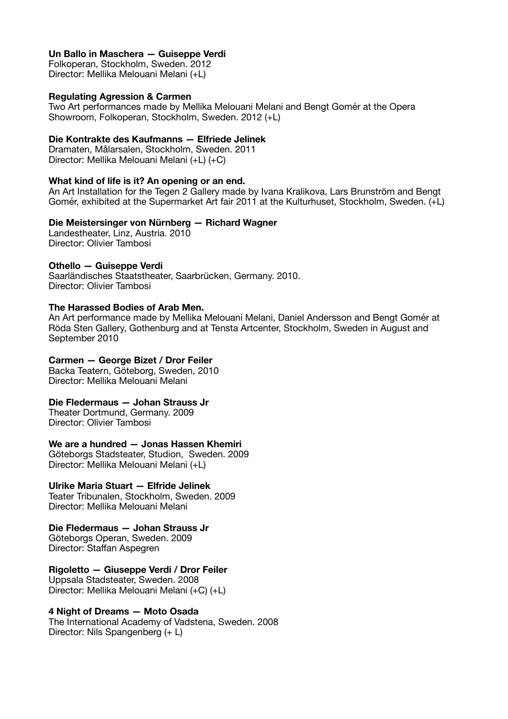## **Un Ballo in Maschera — Guiseppe Verdi**

Folkoperan, Stockholm, Sweden. 2012 Director: Mellika Melouani Melani (+L)

## **Regulating Agression & Carmen**

Two Art performances made by Mellika Melouani Melani and Bengt Gomér at the Opera Showroom, Folkoperan, Stockholm, Sweden. 2012 (+L)

### **Die Kontrakte des Kaufmanns — Elfriede Jelinek**

Dramaten, Målarsalen, Stockholm, Sweden. 2011 Director: Mellika Melouani Melani (+L) (+C)

## **What kind of life is it? An opening or an end.**

An Art Installation for the Tegen 2 Gallery made by Ivana Kralikova, Lars Brunström and Bengt Gomér, exhibited at the Supermarket Art fair 2011 at the Kulturhuset, Stockholm, Sweden. (+L)

## **Die Meistersinger von Nürnberg — Richard Wagner**

Landestheater, Linz, Austria. 2010 Director: Olivier Tambosi

## **Othello — Guiseppe Verdi**

Saarländisches Staatstheater, Saarbrücken, Germany. 2010. Director: Olivier Tambosi

## **The Harassed Bodies of Arab Men.**

An Art performance made by Mellika Melouani Melani, Daniel Andersson and Bengt Gomér at Röda Sten Gallery, Gothenburg and at Tensta Artcenter, Stockholm, Sweden in August and September 2010

### **Carmen — George Bizet / Dror Feiler**

Backa Teatern, Göteborg, Sweden, 2010 Director: Mellika Melouani Melani

## **Die Fledermaus — Johan Strauss Jr**

Theater Dortmund, Germany. 2009 Director: Olivier Tambosi

## **We are a hundred — Jonas Hassen Khemiri**

Göteborgs Stadsteater, Studion, Sweden. 2009 Director: Mellika Melouani Melani (+L)

## **Ulrike Maria Stuart — Elfride Jelinek**

Teater Tribunalen, Stockholm, Sweden. 2009 Director: Mellika Melouani Melani

## **Die Fledermaus — Johan Strauss Jr**

Göteborgs Operan, Sweden. 2009 Director: Staffan Aspegren

## **Rigoletto — Giuseppe Verdi / Dror Feiler**

Uppsala Stadsteater, Sweden. 2008 Director: Mellika Melouani Melani (+C) (+L)

#### **4 Night of Dreams — Moto Osada**

The International Academy of Vadstena, Sweden. 2008 Director: Nils Spangenberg (+ L)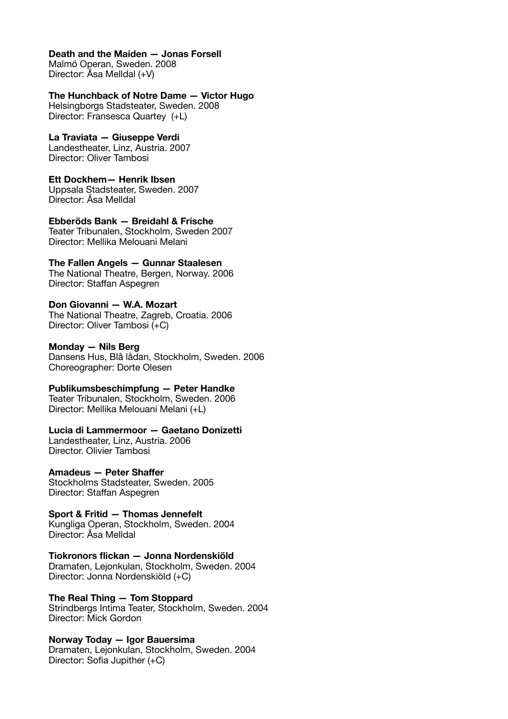## **Death and the Maiden — Jonas Forsell**

Malmö Operan, Sweden. 2008 Director: Åsa Melldal (+V)

### **The Hunchback of Notre Dame — Victor Hugo**

Helsingborgs Stadsteater, Sweden. 2008 Director: Fransesca Quartey (+L)

## **La Traviata — Giuseppe Verdi**

Landestheater, Linz, Austria. 2007 Director: Oliver Tambosi

**Ett Dockhem— Henrik Ibsen**  Uppsala Stadsteater, Sweden. 2007 Director: Åsa Melldal

**Ebberöds Bank — Breidahl & Frische**  Teater Tribunalen, Stockholm, Sweden 2007 Director: Mellika Melouani Melani

#### **The Fallen Angels — Gunnar Staalesen**  The National Theatre, Bergen, Norway. 2006 Director: Staffan Aspegren

#### **Don Giovanni — W.A. Mozart**  The National Theatre, Zagreb, Croatia. 2006 Director: Oliver Tambosi (+C)

**Monday — Nils Berg**  Dansens Hus, Blå lådan, Stockholm, Sweden. 2006 Choreographer: Dorte Olesen

## **Publikumsbeschimpfung — Peter Handke**

Teater Tribunalen, Stockholm, Sweden. 2006 Director: Mellika Melouani Melani (+L)

## **Lucia di Lammermoor — Gaetano Donizetti**

Landestheater, Linz, Austria. 2006 Director. Olivier Tambosi

## **Amadeus — Peter Shaffer**

Stockholms Stadsteater, Sweden. 2005 Director: Staffan Aspegren

#### **Sport & Fritid — Thomas Jennefelt**  Kungliga Operan, Stockholm, Sweden. 2004

Director: Åsa Melldal

# **Tiokronors flickan — Jonna Nordenskiöld**

Dramaten, Lejonkulan, Stockholm, Sweden. 2004 Director: Jonna Nordenskiöld (+C)

# **The Real Thing — Tom Stoppard**  Strindbergs Intima Teater, Stockholm, Sweden. 2004

Director: Mick Gordon

#### **Norway Today — Igor Bauersima**  Dramaten, Lejonkulan, Stockholm, Sweden. 2004

Director: Sofia Jupither (+C)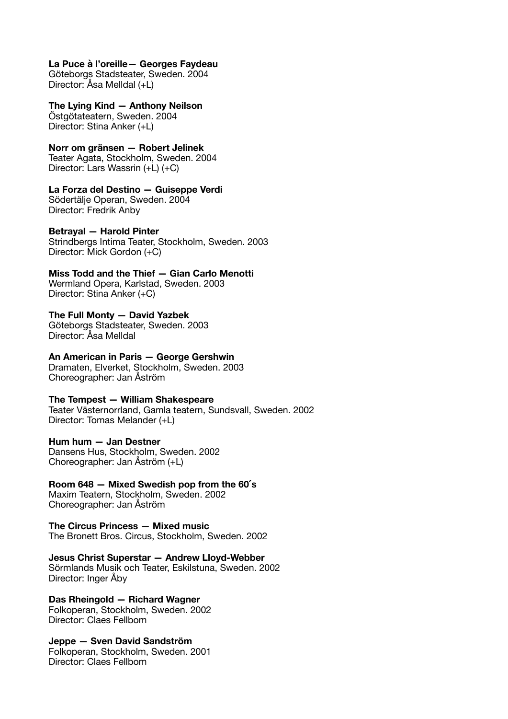#### **La Puce à l'oreille— Georges Faydeau**

Göteborgs Stadsteater, Sweden. 2004 Director: Åsa Melldal (+L)

#### **The Lying Kind — Anthony Neilson**

Östgötateatern, Sweden. 2004 Director: Stina Anker (+L)

### **Norr om gränsen — Robert Jelinek**

Teater Agata, Stockholm, Sweden. 2004 Director: Lars Wassrin (+L) (+C)

#### **La Forza del Destino — Guiseppe Verdi**

Södertälje Operan, Sweden. 2004 Director: Fredrik Anby

## **Betrayal — Harold Pinter**

Strindbergs Intima Teater, Stockholm, Sweden. 2003 Director: Mick Gordon (+C)

**Miss Todd and the Thief — Gian Carlo Menotti**  Wermland Opera, Karlstad, Sweden. 2003 Director: Stina Anker (+C)

#### **The Full Monty — David Yazbek**  Göteborgs Stadsteater, Sweden. 2003

Director: Åsa Melldal

## **An American in Paris — George Gershwin**

Dramaten, Elverket, Stockholm, Sweden. 2003 Choreographer: Jan Åström

### **The Tempest — William Shakespeare**

Teater Västernorrland, Gamla teatern, Sundsvall, Sweden. 2002 Director: Tomas Melander (+L)

#### **Hum hum — Jan Destner**

Dansens Hus, Stockholm, Sweden. 2002 Choreographer: Jan Åström (+L)

# **Room 648 — Mixed Swedish pop from the 60 ́s**

Maxim Teatern, Stockholm, Sweden. 2002 Choreographer: Jan Åström

**The Circus Princess — Mixed music**  The Bronett Bros. Circus, Stockholm, Sweden. 2002

**Jesus Christ Superstar — Andrew Lloyd-Webber**  Sörmlands Musik och Teater, Eskilstuna, Sweden. 2002 Director: Inger Åby

**Das Rheingold — Richard Wagner**  Folkoperan, Stockholm, Sweden. 2002 Director: Claes Fellbom

**Jeppe — Sven David Sandström**  Folkoperan, Stockholm, Sweden. 2001 Director: Claes Fellbom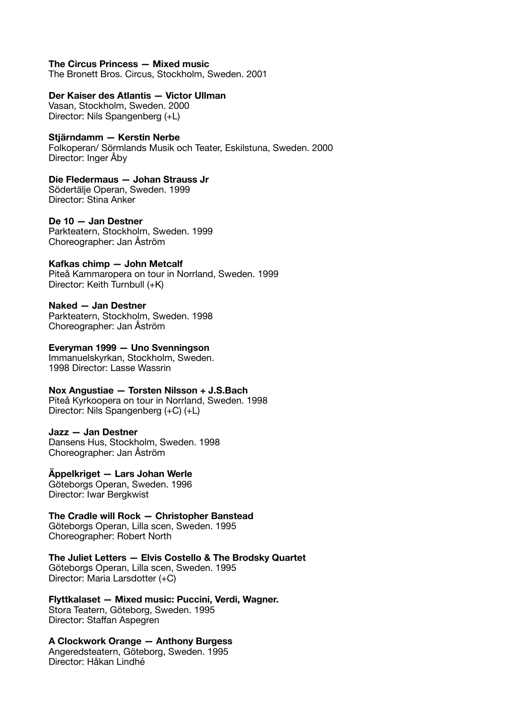#### **The Circus Princess — Mixed music**

The Bronett Bros. Circus, Stockholm, Sweden. 2001

#### **Der Kaiser des Atlantis — Victor Ullman**

Vasan, Stockholm, Sweden. 2000 Director: Nils Spangenberg (+L)

#### **Stjärndamm — Kerstin Nerbe**

Folkoperan/ Sörmlands Musik och Teater, Eskilstuna, Sweden. 2000 Director: Inger Åby

# **Die Fledermaus — Johan Strauss Jr**

Södertälje Operan, Sweden. 1999 Director: Stina Anker

# **De 10 — Jan Destner**

Parkteatern, Stockholm, Sweden. 1999 Choreographer: Jan Åström

#### **Kafkas chimp — John Metcalf**

Piteå Kammaropera on tour in Norrland, Sweden. 1999 Director: Keith Turnbull (+K)

#### **Naked — Jan Destner**

Parkteatern, Stockholm, Sweden. 1998 Choreographer: Jan Åström

#### **Everyman 1999 — Uno Svenningson**

Immanuelskyrkan, Stockholm, Sweden. 1998 Director: Lasse Wassrin

#### **Nox Angustiae — Torsten Nilsson + J.S.Bach**  Piteå Kyrkoopera on tour in Norrland, Sweden. 1998 Director: Nils Spangenberg (+C) (+L)

#### **Jazz — Jan Destner**

Dansens Hus, Stockholm, Sweden. 1998 Choreographer: Jan Åström

## **Äppelkriget — Lars Johan Werle**

Göteborgs Operan, Sweden. 1996 Director: Iwar Bergkwist

## **The Cradle will Rock — Christopher Banstead**

Göteborgs Operan, Lilla scen, Sweden. 1995 Choreographer: Robert North

#### **The Juliet Letters — Elvis Costello & The Brodsky Quartet**  Göteborgs Operan, Lilla scen, Sweden. 1995 Director: Maria Larsdotter (+C)

**Flyttkalaset — Mixed music: Puccini, Verdi, Wagner.**  Stora Teatern, Göteborg, Sweden. 1995 Director: Staffan Aspegren

# **A Clockwork Orange — Anthony Burgess**  Angeredsteatern, Göteborg, Sweden. 1995

Director: Håkan Lindhé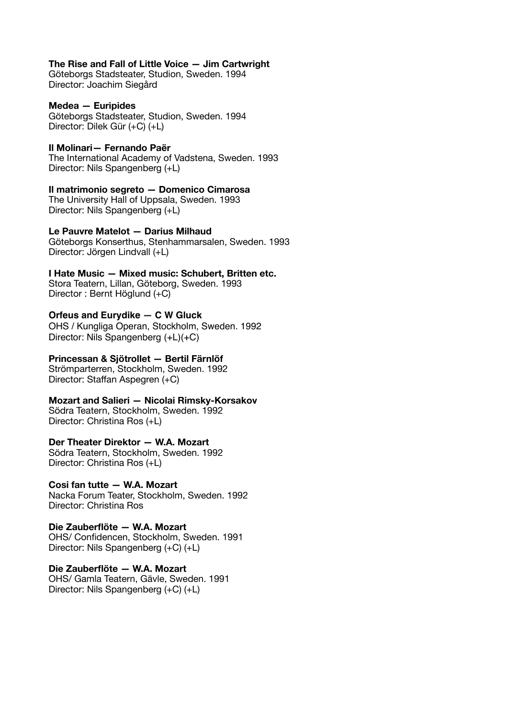#### **The Rise and Fall of Little Voice — Jim Cartwright**

Göteborgs Stadsteater, Studion, Sweden. 1994 Director: Joachim Siegård

**Medea — Euripides**  Göteborgs Stadsteater, Studion, Sweden. 1994

Director: Dilek Gür (+C) (+L)

**Il Molinari— Fernando Paër** 

The International Academy of Vadstena, Sweden. 1993 Director: Nils Spangenberg (+L)

**Il matrimonio segreto — Domenico Cimarosa**  The University Hall of Uppsala, Sweden. 1993 Director: Nils Spangenberg (+L)

## **Le Pauvre Matelot — Darius Milhaud**

Göteborgs Konserthus, Stenhammarsalen, Sweden. 1993 Director: Jörgen Lindvall (+L)

**I Hate Music — Mixed music: Schubert, Britten etc.**  Stora Teatern, Lillan, Göteborg, Sweden. 1993 Director : Bernt Höglund (+C)

# **Orfeus and Eurydike — C W Gluck**

OHS / Kungliga Operan, Stockholm, Sweden. 1992 Director: Nils Spangenberg (+L)(+C)

**Princessan & Sjötrollet — Bertil Färnlöf** 

Strömparterren, Stockholm, Sweden. 1992 Director: Staffan Aspegren (+C)

**Mozart and Salieri — Nicolai Rimsky-Korsakov**  Södra Teatern, Stockholm, Sweden. 1992 Director: Christina Ros (+L)

## **Der Theater Direktor — W.A. Mozart**

Södra Teatern, Stockholm, Sweden. 1992 Director: Christina Ros (+L)

# **Cosi fan tutte — W.A. Mozart**

Nacka Forum Teater, Stockholm, Sweden. 1992 Director: Christina Ros

**Die Zauberflöte — W.A. Mozart**  OHS/ Confidencen, Stockholm, Sweden. 1991 Director: Nils Spangenberg (+C) (+L)

**Die Zauberflöte — W.A. Mozart**  OHS/ Gamla Teatern, Gävle, Sweden. 1991 Director: Nils Spangenberg (+C) (+L)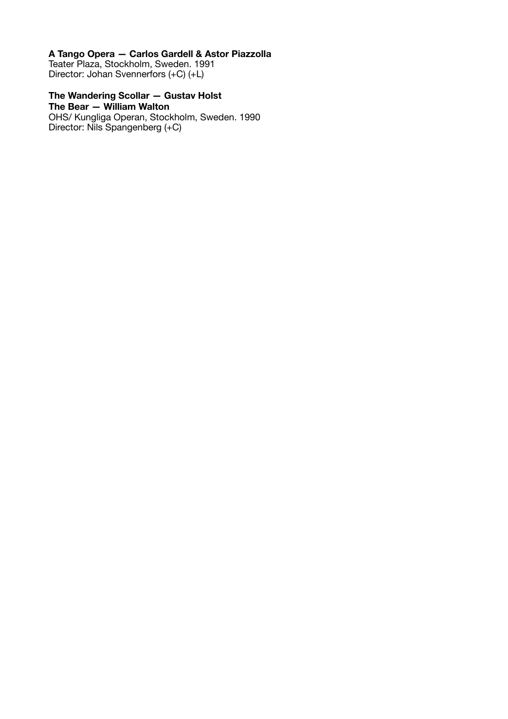# **A Tango Opera — Carlos Gardell & Astor Piazzolla**

Teater Plaza, Stockholm, Sweden. 1991 Director: Johan Svennerfors (+C) (+L)

# **The Wandering Scollar — Gustav Holst**

**The Bear — William Walton**  OHS/ Kungliga Operan, Stockholm, Sweden. 1990 Director: Nils Spangenberg (+C)